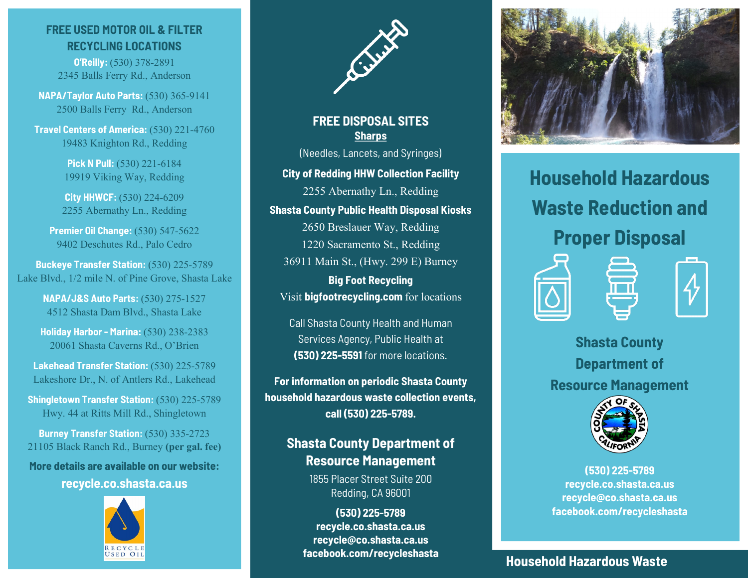## **FREE USED MOTOR OIL & FILTER RECYCLING LOCATIONS**

**O'Reilly:** (530) 378-2891 2345 Balls Ferry Rd., Anderson

**NAPA/Taylor Auto Parts:** (530) 365-9141 2500 Balls Ferry Rd., Anderson

**Travel Centers of America:** (530) 221-4760 19483 Knighton Rd., Redding

> **Pick N Pull: (530) 221-6184** 19919 Viking Way, Redding

**City HHWCF:** (530) 224-6209 2255 Abernathy Ln., Redding

**Premier Oil Change:** (530) 547-5622 9402 Deschutes Rd., Palo Cedro

**Buckeye Transfer Station:** (530) 225-5789 Lake Blvd., 1/2 mile N. of Pine Grove, Shasta Lake

> **NAPA/J&S Auto Parts:** (530) 275-1527 4512 Shasta Dam Blvd., Shasta Lake

**Holiday Harbor - Marina:** (530) 238-2383 20061 Shasta Caverns Rd., O'Brien

**Lakehead Transfer Station:** (530) 225-5789 Lakeshore Dr., N. of Antlers Rd., Lakehead

**Shingletown Transfer Station:** (530) 225-5789 Hwy. 44 at Ritts Mill Rd., Shingletown

**Burney Transfer Station:** (530) 335-2723 21105 Black Ranch Rd., Burney **(per gal. fee)**

**More details are available on our website:**

**recycle.co.shasta.ca.us**





**FREE DISPOSAL SITES Sharps** (Needles, Lancets, and Syringes)

**City of Redding HHW Collection Facility**

2255 Abernathy Ln., Redding

**Shasta County Public Health Disposal Kiosks**

2650 Breslauer Way, Redding 1220 Sacramento St., Redding 36911 Main St., (Hwy. 299 E) Burney

**Big Foot Recycling** Visit **bigfootrecycling.com** for locations

Call Shasta County Health and Human Services Agency, Public Health at **(530) 225-5591** for more locations.

**For information on periodic Shasta County household hazardous waste collection events, call (530) 225-5789.**

# **Shasta County Department of Resource Management**

1855 Placer Street Suite 200 Redding, CA 96001

**(530) 225-5789 recycle.co.shasta.ca.us recycle@co.shasta.ca.us facebook.com/recycleshasta**



**Household Hazardous Waste Reduction and Proper Disposal**





**Shasta County Department of Resource Management**



**(530) 225-5789 recycle.co.shasta.ca.us recycle@co.shasta.ca.us facebook.com/recycleshasta**

**Household Hazardous Waste**